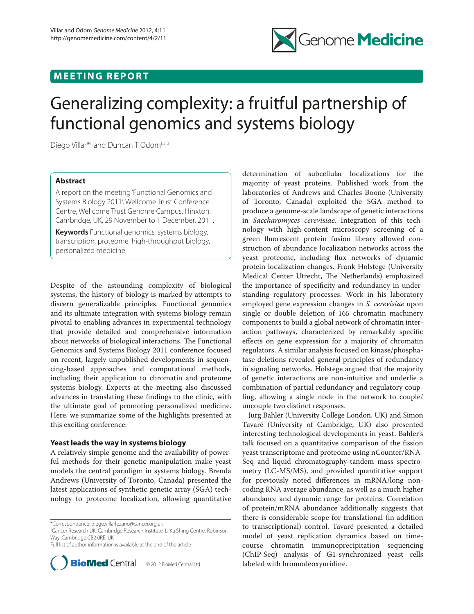## **MEETING REPORT**



# Generalizing complexity: a fruitful partnership of functional genomics and systems biology

Diego Villar\*<sup>1</sup> and Duncan TOdom<sup>1,2,3</sup>

## **Abstract**

A report on the meeting 'Functional Genomics and Systems Biology 2011', Wellcome Trust Conference Centre, Wellcome Trust Genome Campus, Hinxton, Cambridge, UK, 29 November to 1 December, 2011.

**Keywords** Functional genomics, systems biology, transcription, proteome, high-throughput biology, personalized medicine

Despite of the astounding complexity of biological systems, the history of biology is marked by attempts to discern generalizable principles. Functional genomics and its ultimate integration with systems biology remain pivotal to enabling advances in experimental technology that provide detailed and comprehensive information about networks of biological interactions. The Functional Genomics and Systems Biology 2011 conference focused on recent, largely unpublished developments in sequencing-based approaches and computational methods, including their application to chromatin and proteome systems biology. Experts at the meeting also discussed advances in translating these findings to the clinic, with the ultimate goal of promoting personalized medicine. Here, we summarize some of the highlights presented at this exciting conference.

## **Yeast leads the way in systems biology**

A relatively simple genome and the availability of powerful methods for their genetic manipulation make yeast models the central paradigm in systems biology. Brenda Andrews (University of Toronto, Canada) presented the latest applications of synthetic genetic array (SGA) technology to proteome localization, allowing quantitative

Full list of author information is available at the end of the article



determination of subcellular localizations for the majority of yeast proteins. Published work from the laboratories of Andrews and Charles Boone (University of Toronto, Canada) exploited the SGA method to produce a genome-scale landscape of genetic interactions in *Saccharomyces cerevisiae*. Integration of this technology with high-content microscopy screening of a green fluorescent protein fusion library allowed construction of abundance localization networks across the yeast proteome, including flux networks of dynamic protein localization changes. Frank Holstege (University Medical Center Utrecht, The Netherlands) emphasized the importance of specificity and redundancy in understanding regulatory processes. Work in his laboratory employed gene expression changes in *S. cerevisiae* upon single or double deletion of 165 chromatin machinery components to build a global network of chromatin interaction pathways, characterized by remarkably specific effects on gene expression for a majority of chromatin regulators. A similar analysis focused on kinase/phosphatase deletions revealed general principles of redundancy in signaling networks. Holstege argued that the majority of genetic interactions are non-intuitive and underlie a combination of partial redundancy and regulatory coupling, allowing a single node in the network to couple/ uncouple two distinct responses.

Jurg Bahler (University College London, UK) and Simon Tavaré (University of Cambridge, UK) also presented interesting technological developments in yeast. Bahler's talk focused on a quantitative comparison of the fission yeast transcriptome and proteome using nCounter/RNA-Seq and liquid chromatography-tandem mass spectrometry (LC-MS/MS), and provided quantitative support for previously noted differences in mRNA/long noncoding RNA average abundance, as well as a much higher abundance and dynamic range for proteins. Correlation of protein/mRNA abundance additionally suggests that there is considerable scope for translational (in addition to transcriptional) control. Tavaré presented a detailed model of yeast replication dynamics based on timecourse chromatin immunoprecipitation sequencing (ChIP-Seq) analysis of G1-synchronized yeast cells labeled with bromodeoxyuridine.

<sup>\*</sup>Correspondence: diego.villarlozano@cancer.org.uk

<sup>1</sup> Cancer Research UK, Cambridge Research Institute, Li Ka Shing Centre, Robinson Way, Cambridge CB2 0RE, UK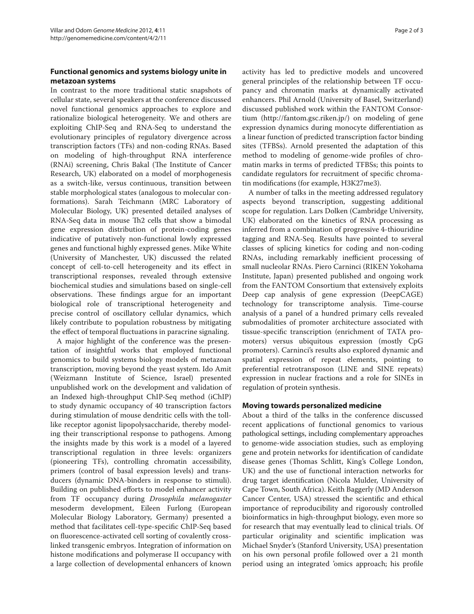## **Functional genomics and systems biology unite in metazoan systems**

In contrast to the more traditional static snapshots of cellular state, several speakers at the conference discussed novel functional genomics approaches to explore and rationalize biological heterogeneity. We and others are exploiting ChIP-Seq and RNA-Seq to understand the evolutionary principles of regulatory divergence across transcription factors (TFs) and non-coding RNAs. Based on modeling of high-throughput RNA interference (RNAi) screening, Chris Bakal (The Institute of Cancer Research, UK) elaborated on a model of morphogenesis as a switch-like, versus continuous, transition between stable morphological states (analogous to molecular conformations). Sarah Teichmann (MRC Laboratory of Molecular Biology, UK) presented detailed analyses of RNA-Seq data in mouse Th2 cells that show a bimodal gene expression distribution of protein-coding genes indicative of putatively non-functional lowly expressed genes and functional highly expressed genes. Mike White (University of Manchester, UK) discussed the related concept of cell-to-cell heterogeneity and its effect in transcriptional responses, revealed through extensive biochemical studies and simulations based on single-cell observations. These findings argue for an important biological role of transcriptional heterogeneity and precise control of oscillatory cellular dynamics, which likely contribute to population robustness by mitigating the effect of temporal fluctuations in paracrine signaling.

A major highlight of the conference was the presentation of insightful works that employed functional genomics to build systems biology models of metazoan transcription, moving beyond the yeast system. Ido Amit (Weizmann Institute of Science, Israel) presented unpublished work on the development and validation of an Indexed high-throughput ChIP-Seq method (iChIP) to study dynamic occupancy of 40 transcription factors during stimulation of mouse dendritic cells with the tolllike receptor agonist lipopolysaccharide, thereby modeling their transcriptional response to pathogens. Among the insights made by this work is a model of a layered transcriptional regulation in three levels: organizers (pioneering TFs), controlling chromatin accessibility, primers (control of basal expression levels) and transducers (dynamic DNA-binders in response to stimuli). Building on published efforts to model enhancer activity from TF occupancy during *Drosophila melanogaster* mesoderm development, Eileen Furlong (European Molecular Biology Laboratory, Germany) presented a method that facilitates cell-type-specific ChIP-Seq based on fluorescence-activated cell sorting of covalently crosslinked transgenic embryos. Integration of information on histone modifications and polymerase II occupancy with a large collection of developmental enhancers of known activity has led to predictive models and uncovered general principles of the relationship between TF occupancy and chromatin marks at dynamically activated enhancers. Phil Arnold (University of Basel, Switzerland) discussed published work within the FANTOM Consortium (http://fantom.gsc.riken.jp/) on modeling of gene expression dynamics during monocyte differentiation as a linear function of predicted transcription factor binding sites (TFBSs). Arnold presented the adaptation of this method to modeling of genome-wide profiles of chromatin marks in terms of predicted TFBSs; this points to candidate regulators for recruitment of specific chromatin modifications (for example, H3K27me3).

A number of talks in the meeting addressed regulatory aspects beyond transcription, suggesting additional scope for regulation. Lars Dolken (Cambridge University, UK) elaborated on the kinetics of RNA processing as inferred from a combination of progressive 4-thiouridine tagging and RNA-Seq. Results have pointed to several classes of splicing kinetics for coding and non-coding RNAs, including remarkably inefficient processing of small nucleolar RNAs. Piero Carninci (RIKEN Yokohama Institute, Japan) presented published and ongoing work from the FANTOM Consortium that extensively exploits Deep cap analysis of gene expression (DeepCAGE) technology for transcriptome analysis. Time-course analysis of a panel of a hundred primary cells revealed submodalities of promoter architecture associated with tissue-specific transcription (enrichment of TATA promoters) versus ubiquitous expression (mostly CpG promoters). Carninci's results also explored dynamic and spatial expression of repeat elements, pointing to preferential retrotransposon (LINE and SINE repeats) expression in nuclear fractions and a role for SINEs in regulation of protein synthesis.

## **Moving towards personalized medicine**

About a third of the talks in the conference discussed recent applications of functional genomics to various pathological settings, including complementary approaches to genome-wide association studies, such as employing gene and protein networks for identification of candidate disease genes (Thomas Schlitt, King's College London, UK) and the use of functional interaction networks for drug target identification (Nicola Mulder, University of Cape Town, South Africa). Keith Baggerly (MD Anderson Cancer Center, USA) stressed the scientific and ethical importance of reproducibility and rigorously controlled bioinformatics in high-throughput biology, even more so for research that may eventually lead to clinical trials. Of particular originality and scientific implication was Michael Snyder's (Stanford University, USA) presentation on his own personal profile followed over a 21 month period using an integrated 'omics approach; his profile